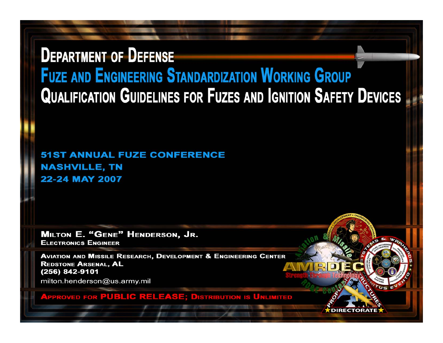# **DEPARTMENT OF DEFENSE FUZE AND ENGINEERING STANDARDIZATION WORKING GROUP QUALIFICATION GUIDELINES FOR FUZES AND IGNITION SAFETY DEVICES**

**51ST ANNUAL FUZE CONFERENCE NASHVILLE, TN** 22-24 MAY 2007

**MILTON E. "GENE" HENDERSON, JR. ELECTRONICS ENGINEER** 

**AVIATION AND MISSILE RESEARCH, DEVELOPMENT & ENGINEERING CENTER REDSTONE ARSENAL, AL** (256) 842-9101

milton.henderson@us.army.mil

**APPROVED FOR PUBLIC RELEASE; DISTRIBUTION IS UNLIMITED**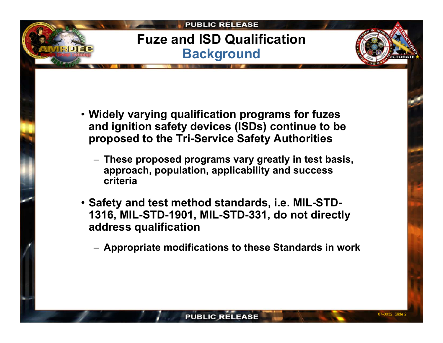# **Fuze and ISD Qualification Background**

- **Widely varying qualification programs for fuzes and ignition safety devices (ISDs) continue to be proposed to the Tri-Service Safety Authorities**
	- **These proposed programs vary greatly in test basis, approach, population, applicability and success criteria**
- **Safety and test method standards, i.e. MIL-STD-1316, MIL-STD-1901, MIL-STD-331, do not directly address qualification** 
	- **Appropriate modifications to these Standards in work**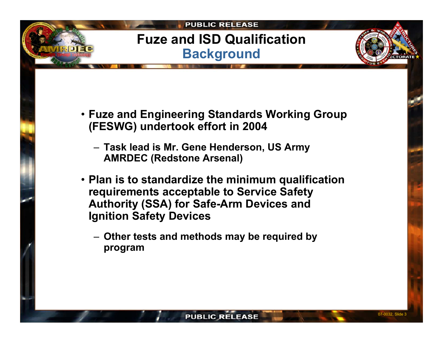# **Fuze and ISD Qualification Background**

- **Fuze and Engineering Standards Working Group (FESWG) undertook effort in 2004**
	- **Task lead is Mr. Gene Henderson, US Army AMRDEC (Redstone Arsenal)**
- **Plan is to standardize the minimum qualification requirements acceptable to Service Safety Authority (SSA) for Safe-Arm Devices and Ignition Safety Devices**
	- **Other tests and methods may be required by program**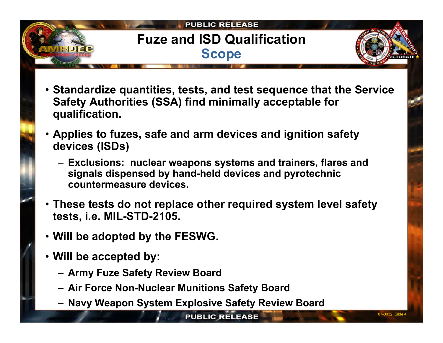# **Fuze and ISD Qualification Scope**

- **Standardize quantities, tests, and test sequence that the Service Safety Authorities (SSA) find minimally acceptable for qualification.**
- **Applies to fuzes, safe and arm devices and ignition safety devices (ISDs)**
	- **Exclusions: nuclear weapons systems and trainers, flares and signals dispensed by hand-held devices and pyrotechnic countermeasure devices.**
- **These tests do not replace other required system level safety tests, i.e. MIL-STD-2105.**
- **Will be adopted by the FESWG.**
- **Will be accepted by:** 
	- **Army Fuze Safety Review Board**
	- **Air Force Non-Nuclear Munitions Safety Board**
	- **Navy Weapon System Explosive Safety Review Board**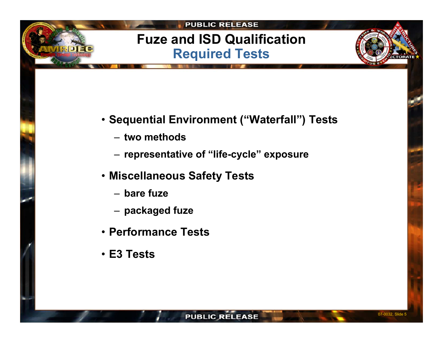# **Fuze and ISD Qualification Required Tests**

- **Sequential Environment ("Waterfall") Tests**
	- **two methods**
	- **representative of "life-cycle" exposure**
- **Miscellaneous Safety Tests**
	- **bare fuze**
	- **packaged fuze**
- **Performance Tests**
- **E3 Tests**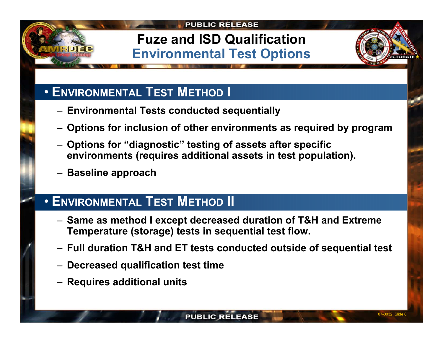# **Fuze and ISD Qualification Environmental Test Options**



## • **ENVIRONMENTAL TEST METHOD I**

- **Environmental Tests conducted sequentially**
- **Options for inclusion of other environments as required by program**
- **Options for "diagnostic" testing of assets after specific environments (requires additional assets in test population).**
- **Baseline approach**

### • **ENVIRONMENTAL TEST METHOD II**

- **Same as method I except decreased duration of T&H and Extreme Temperature (storage) tests in sequential test flow.**
- **Full duration T&H and ET tests conducted outside of sequential test**
- **Decreased qualification test time**
- **Requires additional units**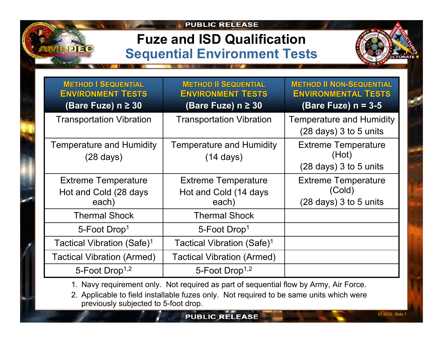# **Fuze and ISD Qualification Sequential Environment Tests**

| <b>CTORATE</b> |  |  |
|----------------|--|--|

| <b>METHOD   SEQUENTIAL</b><br><b>ENVIRONMENT TESTS</b>       | <b>METHOD II SEQUENTIAL</b><br><b>ENVIRONMENT TESTS</b>      | <b>METHOD II NON-SEQUENTIAL</b><br><b>ENVIRONMENTAL TESTS</b>            |
|--------------------------------------------------------------|--------------------------------------------------------------|--------------------------------------------------------------------------|
| (Bare Fuze) $n \geq 30$                                      | (Bare Fuze) $n \geq 30$                                      | (Bare Fuze) $n = 3-5$                                                    |
| <b>Transportation Vibration</b>                              | <b>Transportation Vibration</b>                              | <b>Temperature and Humidity</b><br>$(28 \text{ days})$ 3 to 5 units      |
| <b>Temperature and Humidity</b><br>$(28 \text{ days})$       | <b>Temperature and Humidity</b><br>$(14 \text{ days})$       | <b>Extreme Temperature</b><br>(Hot)<br>$(28 \text{ days})$ 3 to 5 units  |
| <b>Extreme Temperature</b><br>Hot and Cold (28 days<br>each) | <b>Extreme Temperature</b><br>Hot and Cold (14 days<br>each) | <b>Extreme Temperature</b><br>(Cold)<br>$(28 \text{ days})$ 3 to 5 units |
| <b>Thermal Shock</b>                                         | <b>Thermal Shock</b>                                         |                                                                          |
| 5-Foot Drop <sup>1</sup>                                     | 5-Foot Drop <sup>1</sup>                                     |                                                                          |
| Tactical Vibration (Safe) <sup>1</sup>                       | Tactical Vibration (Safe) <sup>1</sup>                       |                                                                          |
| <b>Tactical Vibration (Armed)</b>                            | <b>Tactical Vibration (Armed)</b>                            |                                                                          |
| 5-Foot Drop <sup>1,2</sup>                                   | 5-Foot Drop <sup>1,2</sup>                                   |                                                                          |

1. Navy requirement only. Not required as part of sequential flow by Army, Air Force.

2. Applicable to field installable fuzes only. Not required to be same units which were previously subjected to 5-foot drop.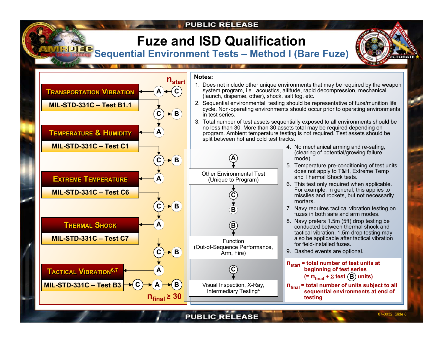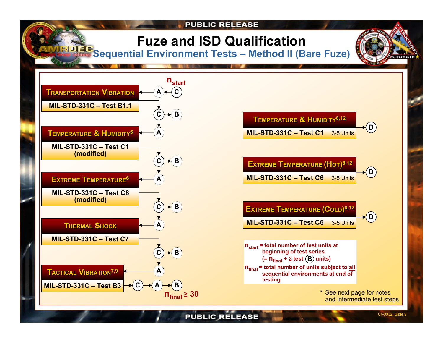# **Fuze and ISD Qualification**

**Sequential Environment Tests – Method II (Bare Fuze)**





 $\blacktriangleright$ (D) **EXTREME TEMPERATURE (HOT) EXTREME TEMPERATURE 8,12 (HOT)8,12 MIL-STD-331C – Test C6** 3-5 Units



**n**<sub>final</sub> = total number of units subject to all **sequential environments at end of testing nstart = total number of test units at beginning of test series (= nfinal <sup>+</sup>**<sup>Σ</sup> **test units B )**

> \* See next page for notes and intermediate test steps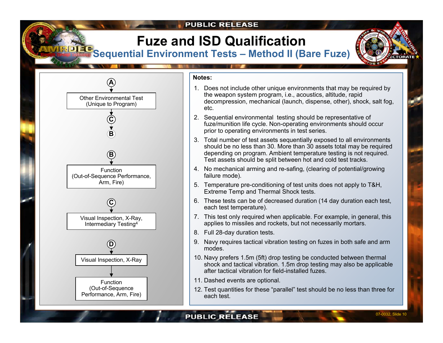# **Fuze and ISD Qualification**

**Sequential Environment Tests – Method II (Bare Fuze)**





#### **Notes:**

- 1. Does not include other unique environments that may be required by the weapon system program, i.e., acoustics, altitude, rapid decompression, mechanical (launch, dispense, other), shock, salt fog, etc.
- 2. Sequential environmental testing should be representative of fuze/munition life cycle. Non-operating environments should occur prior to operating environments in test series.
- 3. Total number of test assets sequentially exposed to all environments should be no less than 30. More than 30 assets total may be required depending on program. Ambient temperature testing is not required. Test assets should be split between hot and cold test tracks.
- 4. No mechanical arming and re-safing, (clearing of potential/growing failure mode).
- 5. Temperature pre-conditioning of test units does not apply to T&H, Extreme Temp and Thermal Shock tests.
- 6. These tests can be of decreased duration (14 day duration each test, each test temperature).
- 7. This test only required when applicable. For example, in general, this applies to missiles and rockets, but not necessarily mortars.
- 8. Full 28-day duration tests.
- 9. Navy requires tactical vibration testing on fuzes in both safe and arm modes.
- 10. Navy prefers 1.5m (5ft) drop testing be conducted between thermal shock and tactical vibration. 1.5m drop testing may also be applicable after tactical vibration for field-installed fuzes.
- 11. Dashed events are optional.
- 12. Test quantities for these "parallel" test should be no less than three for each test.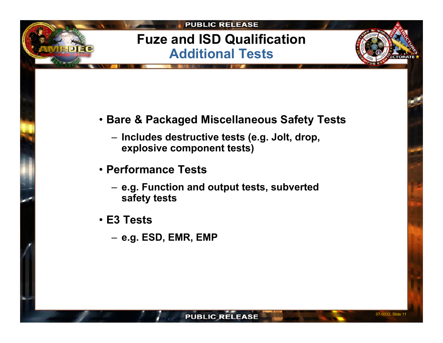# **Fuze and ISD Qualification Additional Tests**

- **Bare & Packaged Miscellaneous Safety Tests**
	- **Includes destructive tests (e.g. Jolt, drop, explosive component tests)**
- **Performance Tests**
	- **e.g. Function and output tests, subverted safety tests**
- **E3 Tests**
	- **e.g. ESD, EMR, EMP**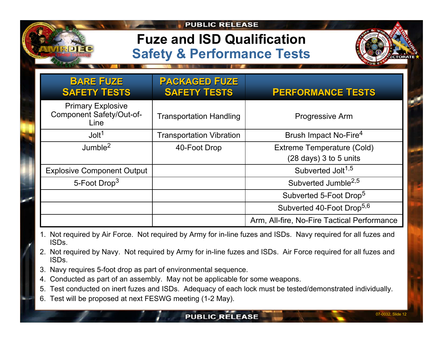# **Fuze and ISD Qualification Safety & Performance Tests**



| <b>BARE FUZE</b><br><b>SAFETY TESTS</b>                      | <b>PACKAGED FUZE</b><br><b>SAFETY TESTS</b> | <b>PERFORMANCE TESTS</b>                    |
|--------------------------------------------------------------|---------------------------------------------|---------------------------------------------|
| <b>Primary Explosive</b><br>Component Safety/Out-of-<br>Line | <b>Transportation Handling</b>              | Progressive Arm                             |
| $J$ olt <sup>1</sup>                                         | <b>Transportation Vibration</b>             | Brush Impact No-Fire <sup>4</sup>           |
| Jumble <sup>2</sup>                                          | 40-Foot Drop                                | <b>Extreme Temperature (Cold)</b>           |
|                                                              |                                             | (28 days) 3 to 5 units                      |
| <b>Explosive Component Output</b>                            |                                             | Subverted Jolt <sup>1,5</sup>               |
| 5-Foot Drop <sup>3</sup>                                     |                                             | Subverted Jumble <sup>2,5</sup>             |
|                                                              |                                             | Subverted 5-Foot Drop <sup>5</sup>          |
|                                                              |                                             | Subverted 40-Foot Drop <sup>5,6</sup>       |
|                                                              |                                             | Arm, All-fire, No-Fire Tactical Performance |

- 1. Not required by Air Force. Not required by Army for in-line fuzes and ISDs. Navy required for all fuzes and ISDs.
- 2. Not required by Navy. Not required by Army for in-line fuzes and ISDs. Air Force required for all fuzes and ISDs.
- 3. Navy requires 5-foot drop as part of environmental sequence.
- 4. Conducted as part of an assembly. May not be applicable for some weapons.
- 5. Test conducted on inert fuzes and ISDs. Adequacy of each lock must be tested/demonstrated individually.
- 6. Test will be proposed at next FESWG meeting (1-2 May).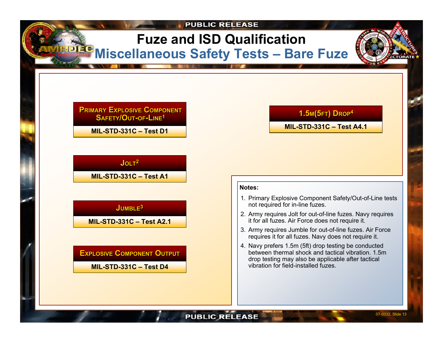# **Fuze and ISD Qualification Miscellaneous Safety Tests - Bare Fuze**

**PRIMARYEXPLOSIVECOMPONENTPRIMARYEXPLOSIVECOMPONENTSAFETY/OUT-OF-LINE1 SAFETY/OUT-OF-LINE1**

**MIL-STD-331C –Test D1**

### $\mathsf{JOLT}^\mathbf{2}$

**MIL-STD-331C – Test A1**

### **JUMBLEJUMBLE33**

**MIL-STD-331C –Test A2.1**

#### $\blacksquare$  XPLOSIVE  $\blacksquare$  COMPONENT  $\blacksquare$

**MIL-STD-331C –Test D4**

### $1.5$ м( $5$ FT)  $D$ ROP $4$

#### **MIL-STD-331C –Test A4.1**

#### **Notes:**

- 1. Primary Explosi ve Component Safety/Out-of-Line tests not required for in-line fuzes.
- 2. Army requires Jolt for o ut-of-line fuzes. Navy requires it for all fuzes. Air Force does not req uire it.
- 3. Army requires Jumble for out-of-line fuzes. Air Force requires it for all fuzes. Navy does not require it.
- 4. Navy prefers 1.5m (5ft) drop testing be conducted between thermal shock and tactical vibration. 1.5m drop testing may also be applicable after tactical vibration for field-installed fuzes.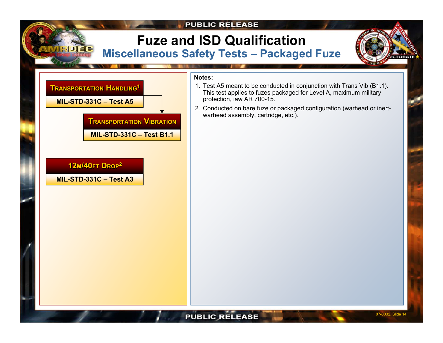

### **Fuze and ISD Qualification Miscellaneous Safety Tests – Packaged Fuze**





#### **Notes:**

- 1. Test A5 meant to be conducted in conjunction with Trans Vib (B1.1). This test applies to fuzes packaged for Level A, maximum military protection, iaw AR 700-15.
- 2. Conducted on bare fuze or packaged configuration (warhead or inertwarhead assembly, cartridge, etc.).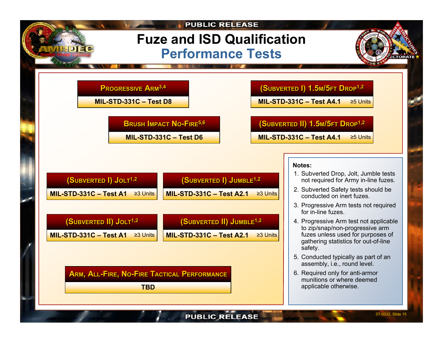# **Fuze and ISD Qualification Performance Tests**

### **PPRROOGGRRESESSI SIVVEEAARMRM3,4 3,4**

**MIL-STD-331C –Test D8**

**BRUSH IMPACT NO-FIREBRUSH 5,6 IMPACT NO-FIR<sup>E</sup>5,6**

**MIL-STD-331C –Test D6**

### **(SUBVERTED I) 1.5 M/5FTDROP1,2 (SUBVERTED I) 1.5 M/5FT DROP1,2**

**MIL-STD-331C –Test A4.1**≥5 Units

### **(SUBVERTED II) 1.5 M/5FTDRO<sup>P</sup>1,2 (SUBVERTED II) 1.5 M/5FT DRO <sup>P</sup>1,2**

**MIL-STD-331C –Test A4.1**≥5 Units

| (SUBVERTED I) JOLT <sup>1,2</sup>        | (SUBVERTED I) JUMBLE <sup>1,2</sup>               |
|------------------------------------------|---------------------------------------------------|
| MIL-STD-331C - Test A1<br>$\geq$ 3 Units | <b>MIL-STD-331C - Test A2.1</b><br>$\geq$ 3 Units |
|                                          |                                                   |
| $(SUBVERTED II)$ Jolt <sup>1,2</sup>     | (SUBVERTED II) JUMBLE <sup>1,2</sup>              |
| MIL-STD-331C - Test A1<br>$\geq$ 3 Units | <b>MIL-STD-331C - Test A2.1</b><br>$\geq$ 3 Units |
|                                          |                                                   |

 $\blacksquare$  **A**  $\blacksquare$  **I**  $\blacksquare$  **I**  $\blacksquare$  **C**  $\blacksquare$  **I**  $\blacksquare$  **I**  $\blacksquare$  **C**  $\blacksquare$  **I**  $\blacksquare$  **C**  $\blacksquare$  **I**  $\blacksquare$  **C**  $\blacksquare$  **I**  $\blacksquare$  **C**  $\blacksquare$  **I**  $\blacksquare$  **C**  $\blacksquare$  **I**  $\blacksquare$  **I**  $\blacksquare$  **I**  $\blacksquare$  **I**  $\blacksquare$  **II**

**TBD**

#### **Notes:**

- 1. Subverted Drop, Jolt, Jumble tests not required for Army in-line fuzes.
- 2. Subverted Safety tests should be conducted on inert fuzes.
- 3. Progressive Arm tests n ot required for in-line fuzes.
- 4. Progressive Arm test not applicable to zip/snap/non-progressive arm fuzes unless used for purposes of gathering statistics for out-of-line safety.
- 5. Conducted typically as p art of an assembly, i.e., round level.
- 6. Required only for anti-ar mor munitions or where deemed applicable otherwise.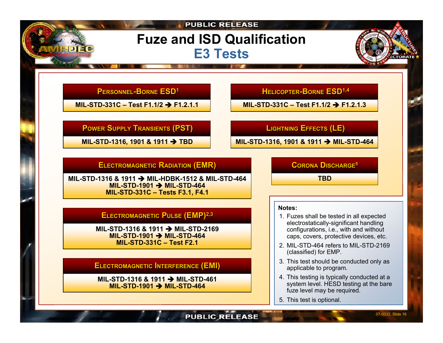# **Fuze and ISD Qualification E3 Tests**

### **PPERSONNE ERSONNELL-BORNE ESD1 -BORNE ESD1**

**MIL-STD-331C –Test F1.1/2** Î **F1.2.1.1**

#### **PPOWER OWERSS UUPPLY PPLY TTRANSIENTS RANSIENTS (PST) (PST)**

**MIL-STD-1316, 1901 & 1911**  Î **TBD**

 $HELICOPTER-BORNE ESD1,4$ 

**MIL-STD-331C –Test F1.1/2** Î **F1.2.1.3**

### **LLIGHT IGHTNIN NINGGEEFFECTS FFECTS (LE) (LE)**

**MIL-STD-1316, 1901 & 1911**  Î **MIL-STD-4 6 4**

### $E$ LECTROMAGNETIC RADIATION (EMR)

**MIL-STD-1316 & 1911** Î **MIL-HDBK-1512 & MIL-S TD-464MIL-STD-1901** Î **MIL-STD-464 MIL-STD-331C – Tests F3.1, F4.1**

### **ELECTROMAGNETICPULSE (EMP) ELECTROMAGNETIC PULSE 2,3 (EMP)2,3**

**MIL-STD-1316 & 1911** Î **MIL-STD-2169 MIL-STD-1901** Î **MIL-STD-464 MIL-STD-331C –Test F2.1**

 $\blacksquare$ LECTROMAGNETIC  $\blacksquare$ **NTERFERENCE**  $(\blacksquare\textsf{MI})$ 

**MIL-STD-1316 & 1911** Î **MIL-STD-461 MIL-STD-1901** Î **MIL-STD-464**

**CORONADISCHARGECORONAD <sup>5</sup> ISCHAR GE<sup>5</sup>**

**TBD**

#### **Notes:**

- 1. Fuzes shall be tested in all expected electrostatically-significant handling configurations, i.e., with and without caps, cover s, protective devices, etc.
- 2. MIL-STD-464 refers to MIL-STD-2169 (classified) for EMP.
- 3. This test should be conducted only as applicable t o program.
- 4. This testing is typically conducted at <sup>a</sup> system level. HESD testing at the bare fuze level may be required.
- 5. This test is optional.